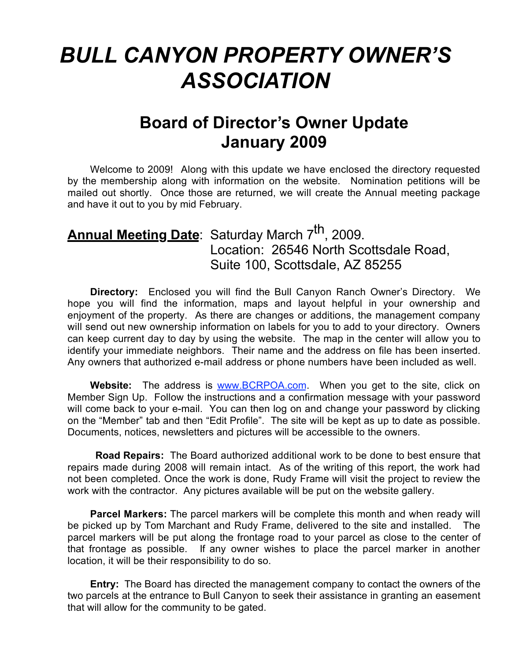## *BULL CANYON PROPERTY OWNER'S ASSOCIATION*

## **Board of Director's Owner Update January 2009**

Welcome to 2009! Along with this update we have enclosed the directory requested by the membership along with information on the website. Nomination petitions will be mailed out shortly. Once those are returned, we will create the Annual meeting package and have it out to you by mid February.

## Annual Meeting Date: Saturday March 7<sup>th</sup>, 2009. Location: 26546 North Scottsdale Road, Suite 100, Scottsdale, AZ 85255

**Directory:** Enclosed you will find the Bull Canyon Ranch Owner's Directory. We hope you will find the information, maps and layout helpful in your ownership and enjoyment of the property. As there are changes or additions, the management company will send out new ownership information on labels for you to add to your directory. Owners can keep current day to day by using the website. The map in the center will allow you to identify your immediate neighbors. Their name and the address on file has been inserted. Any owners that authorized e-mail address or phone numbers have been included as well.

Website: The address is www.BCRPOA.com. When you get to the site, click on Member Sign Up. Follow the instructions and a confirmation message with your password will come back to your e-mail. You can then log on and change your password by clicking on the "Member" tab and then "Edit Profile". The site will be kept as up to date as possible. Documents, notices, newsletters and pictures will be accessible to the owners.

**Road Repairs:** The Board authorized additional work to be done to best ensure that repairs made during 2008 will remain intact. As of the writing of this report, the work had not been completed. Once the work is done, Rudy Frame will visit the project to review the work with the contractor. Any pictures available will be put on the website gallery.

**Parcel Markers:** The parcel markers will be complete this month and when ready will be picked up by Tom Marchant and Rudy Frame, delivered to the site and installed. The parcel markers will be put along the frontage road to your parcel as close to the center of that frontage as possible. If any owner wishes to place the parcel marker in another location, it will be their responsibility to do so.

**Entry:** The Board has directed the management company to contact the owners of the two parcels at the entrance to Bull Canyon to seek their assistance in granting an easement that will allow for the community to be gated.